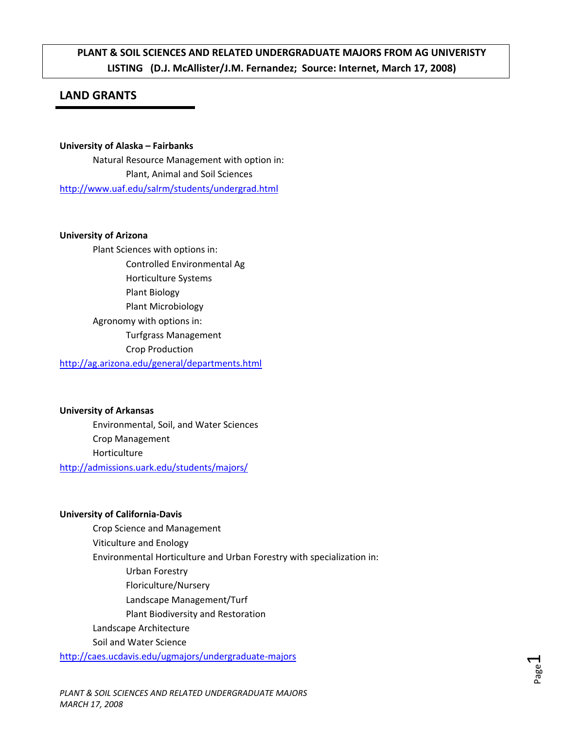# **PLANT & SOIL SCIENCES AND RELATED UNDERGRADUATE MAJORS FROM AG UNIVERISTY LISTING (D.J. McAllister/J.M. Fernandez; Source: Internet, March 17, 2008)**

# **LAND GRANTS**

**University of Alaska – Fairbanks** Natural Resource Management with option in: Plant, Animal and Soil Sciences <http://www.uaf.edu/salrm/students/undergrad.html>

#### **University of Arizona**

Plant Sciences with options in: Controlled Environmental Ag Horticulture Systems Plant Biology Plant Microbiology Agronomy with options in: Turfgrass Management Crop Production

<http://ag.arizona.edu/general/departments.html>

# **University of Arkansas**

Environmental, Soil, and Water Sciences Crop Management Horticulture <http://admissions.uark.edu/students/majors/>

#### **University of California‐Davis**

Crop Science and Management Viticulture and Enology Environmental Horticulture and Urban Forestry with specialization in: Urban Forestry Floriculture/Nursery Landscape Management/Turf Plant Biodiversity and Restoration Landscape Architecture Soil and Water Science [http://caes.ucdavis.edu/ugmajors/undergraduate](http://caes.ucdavis.edu/ugmajors/undergraduate-majors)‐majors

*PLANT & SOIL SCIENCES AND RELATED UNDERGRADUATE MAJORS MARCH 17, 2008*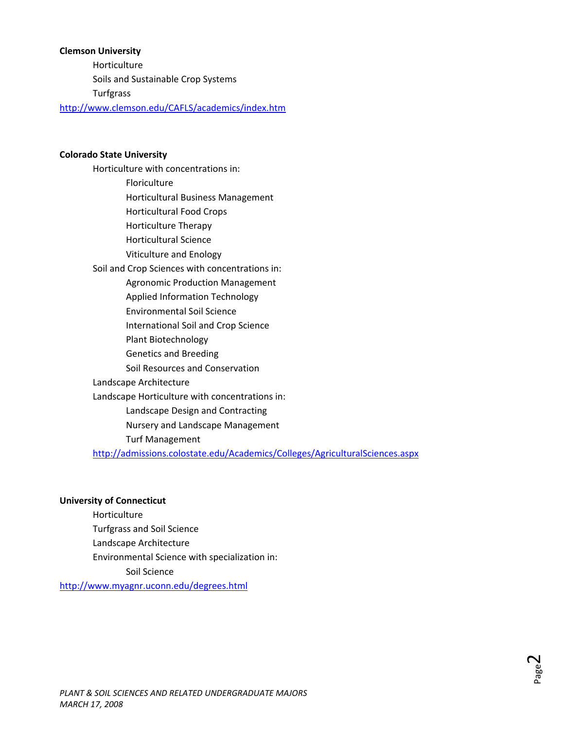#### **Clemson University**

Horticulture Soils and Sustainable Crop Systems Turfgrass

<http://www.clemson.edu/CAFLS/academics/index.htm>

#### **Colorado State University**

Horticulture with concentrations in: Floriculture Horticultural Business Management Horticultural Food Crops Horticulture Therapy Horticultural Science Viticulture and Enology Soil and Crop Sciences with concentrations in: Agronomic Production Management Applied Information Technology Environmental Soil Science International Soil and Crop Science Plant Biotechnology Genetics and Breeding Soil Resources and Conservation Landscape Architecture Landscape Horticulture with concentrations in: Landscape Design and Contracting Nursery and Landscape Management Turf Management

<http://admissions.colostate.edu/Academics/Colleges/AgriculturalSciences.aspx>

#### **University of Connecticut**

Horticulture Turfgrass and Soil Science Landscape Architecture Environmental Science with specialization in: Soil Science

<http://www.myagnr.uconn.edu/degrees.html>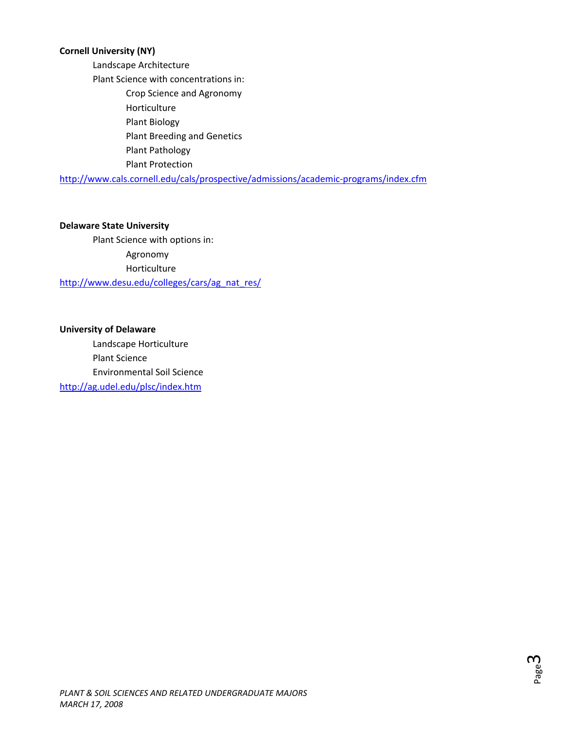#### **Cornell University (NY)**

Landscape Architecture Plant Science with concentrations in: Crop Science and Agronomy Horticulture Plant Biology Plant Breeding and Genetics Plant Pathology Plant Protection

[http://www.cals.cornell.edu/cals/prospective/admissions/academic](http://www.cals.cornell.edu/cals/prospective/admissions/academic-programs/index.cfm)‐programs/index.cfm

#### **Delaware State University**

Plant Science with options in: Agronomy Horticulture [http://www.desu.edu/colleges/cars/ag\\_nat\\_res/](http://www.desu.edu/colleges/cars/ag_nat_res/)

#### **University of Delaware**

Landscape Horticulture Plant Science Environmental Soil Science <http://ag.udel.edu/plsc/index.htm>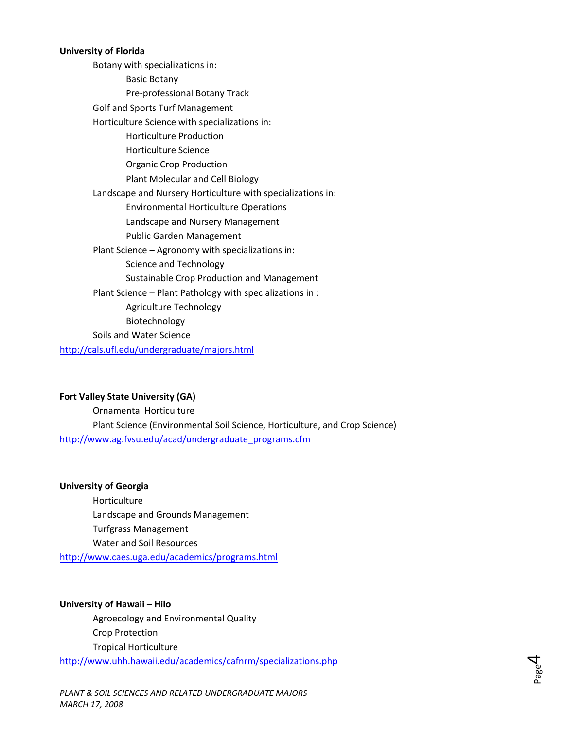#### **University of Florida**

Botany with specializations in: Basic Botany Pre‐professional Botany Track Golf and Sports Turf Management Horticulture Science with specializations in: Horticulture Production Horticulture Science Organic Crop Production Plant Molecular and Cell Biology Landscape and Nursery Horticulture with specializations in: Environmental Horticulture Operations Landscape and Nursery Management Public Garden Management Plant Science – Agronomy with specializations in: Science and Technology Sustainable Crop Production and Management Plant Science – Plant Pathology with specializations in : Agriculture Technology Biotechnology Soils and Water Science <http://cals.ufl.edu/undergraduate/majors.html>

#### **Fort Valley State University (GA)**

Ornamental Horticulture Plant Science (Environmental Soil Science, Horticulture, and Crop Science) [http://www.ag.fvsu.edu/acad/undergraduate\\_programs.cfm](http://www.ag.fvsu.edu/acad/undergraduate_programs.cfm)

#### **University of Georgia**

Horticulture Landscape and Grounds Management Turfgrass Management Water and Soil Resources <http://www.caes.uga.edu/academics/programs.html>

# **University of Hawaii – Hilo**

Agroecology and Environmental Quality Crop Protection Tropical Horticulture <http://www.uhh.hawaii.edu/academics/cafnrm/specializations.php>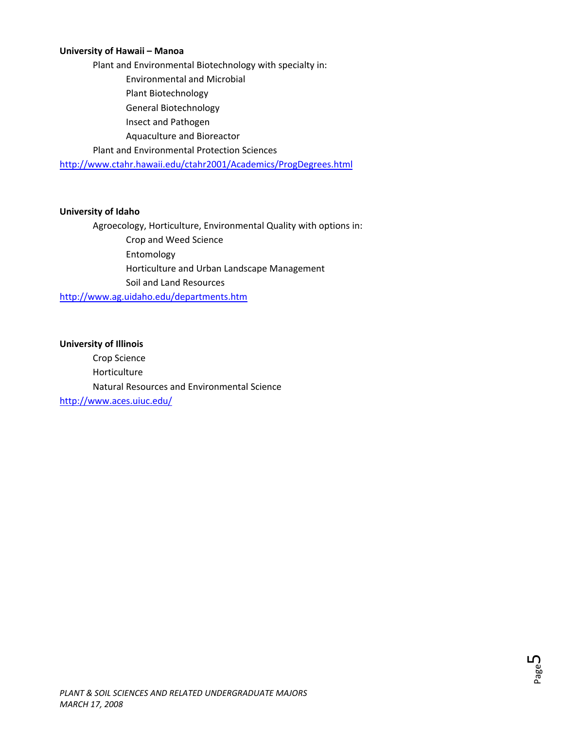#### **University of Hawaii – Manoa**

Plant and Environmental Biotechnology with specialty in: Environmental and Microbial Plant Biotechnology General Biotechnology Insect and Pathogen Aquaculture and Bioreactor Plant and Environmental Protection Sciences

<http://www.ctahr.hawaii.edu/ctahr2001/Academics/ProgDegrees.html>

#### **University of Idaho**

Agroecology, Horticulture, Environmental Quality with options in:

 Crop and Weed Science Entomology Horticulture and Urban Landscape Management Soil and Land Resources

<http://www.ag.uidaho.edu/departments.htm>

#### **University of Illinois**

Crop Science Horticulture Natural Resources and Environmental Science <http://www.aces.uiuc.edu/>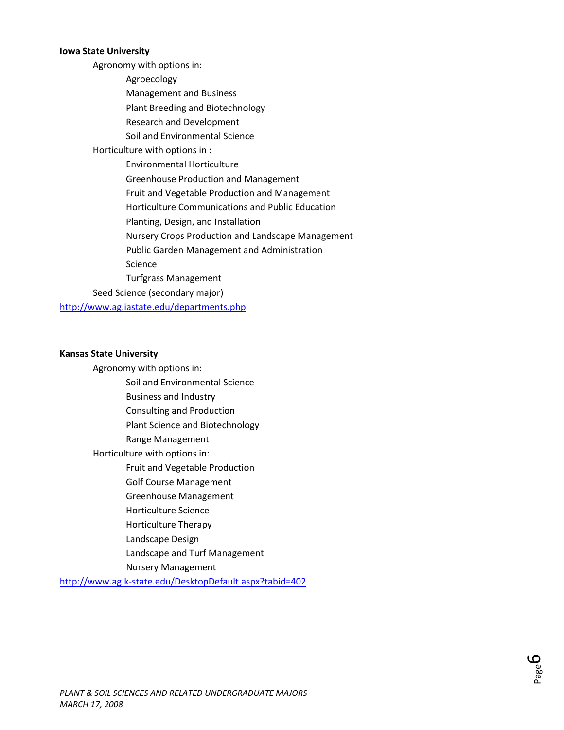#### **Iowa State University**

Agronomy with options in: Agroecology Management and Business Plant Breeding and Biotechnology Research and Development Soil and Environmental Science Horticulture with options in : Environmental Horticulture Greenhouse Production and Management Fruit and Vegetable Production and Management Horticulture Communications and Public Education Planting, Design, and Installation Nursery Crops Production and Landscape Management Public Garden Management and Administration Science Turfgrass Management Seed Science (secondary major) <http://www.ag.iastate.edu/departments.php>

#### **Kansas State University**

- Agronomy with options in: Soil and Environmental Science Business and Industry Consulting and Production Plant Science and Biotechnology Range Management Horticulture with options in: Fruit and Vegetable Production Golf Course Management Greenhouse Management Horticulture Science Horticulture Therapy Landscape Design Landscape and Turf Management
	- Nursery Management

http://www.ag.k‐[state.edu/DesktopDefault.aspx?tabid=402](http://www.ag.k-state.edu/DesktopDefault.aspx?tabid=402)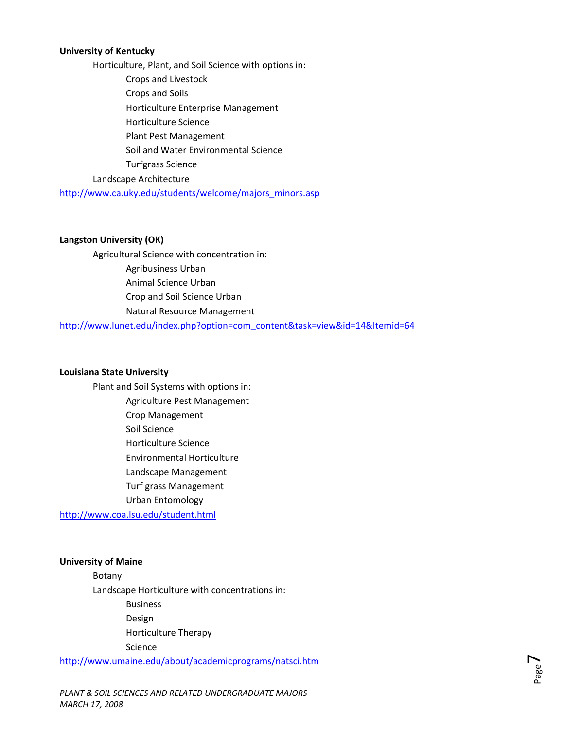#### **University of Kentucky**

Horticulture, Plant, and Soil Science with options in: Crops and Livestock Crops and Soils Horticulture Enterprise Management Horticulture Science Plant Pest Management Soil and Water Environmental Science Turfgrass Science Landscape Architecture

[http://www.ca.uky.edu/students/welcome/majors\\_minors.asp](http://www.ca.uky.edu/students/welcome/majors_minors.asp)

#### **Langston University (OK)**

Agricultural Science with concentration in: Agribusiness Urban Animal Science Urban Crop and Soil Science Urban Natural Resource Management

[http://www.lunet.edu/index.php?option=com\\_content&task=view&id=14&Itemid=64](http://www.lunet.edu/index.php?option=com_content&task=view&id=14&Itemid=64)

#### **Louisiana State University**

Plant and Soil Systems with options in: Agriculture Pest Management Crop Management Soil Science Horticulture Science Environmental Horticulture Landscape Management Turf grass Management Urban Entomology <http://www.coa.lsu.edu/student.html>

#### **University of Maine**

Botany Landscape Horticulture with concentrations in: Business Design Horticulture Therapy

Science

<http://www.umaine.edu/about/academicprograms/natsci.htm>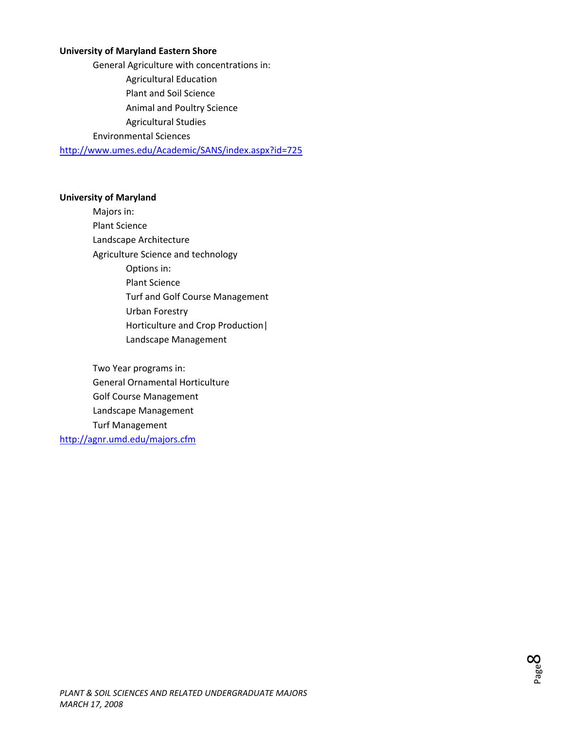#### **University of Maryland Eastern Shore**

General Agriculture with concentrations in: Agricultural Education Plant and Soil Science Animal and Poultry Science Agricultural Studies

Environmental Sciences

<http://www.umes.edu/Academic/SANS/index.aspx?id=725>

#### **University of Maryland**

Majors in: Plant Science Landscape Architecture Agriculture Science and technology Options in: Plant Science Turf and Golf Course Management Urban Forestry Horticulture and Crop Production| Landscape Management

Two Year programs in: General Ornamental Horticulture Golf Course Management Landscape Management Turf Management <http://agnr.umd.edu/majors.cfm>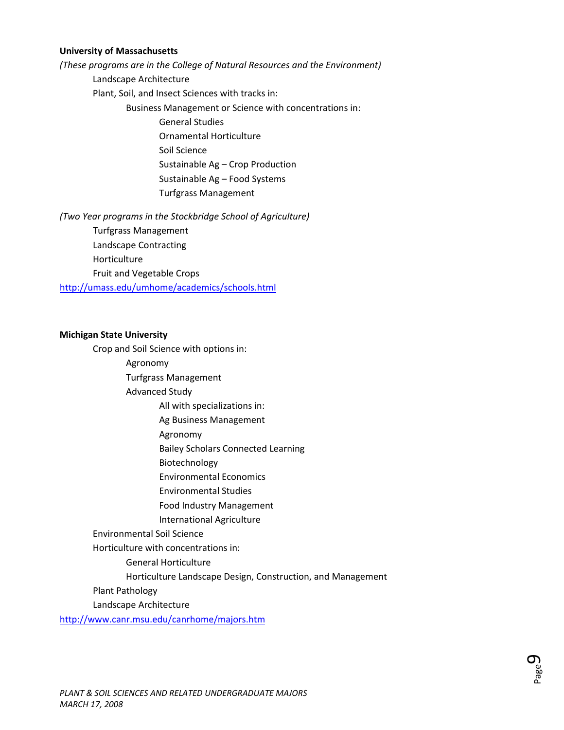#### **University of Massachusetts**

*(These programs are in the College of Natural Resources and the Environment)* Landscape Architecture

Plant, Soil, and Insect Sciences with tracks in:

Business Management or Science with concentrations in:

General Studies

Ornamental Horticulture

Soil Science

Sustainable Ag – Crop Production

Sustainable Ag – Food Systems

Turfgrass Management

*(Two Year programs in the Stockbridge School of Agriculture)*

Turfgrass Management

Landscape Contracting

Horticulture

Fruit and Vegetable Crops

<http://umass.edu/umhome/academics/schools.html>

#### **Michigan State University**

Crop and Soil Science with options in:

Agronomy

Turfgrass Management

Advanced Study

All with specializations in:

Ag Business Management

Agronomy

Bailey Scholars Connected Learning

Biotechnology

Environmental Economics

Environmental Studies

Food Industry Management

International Agriculture

Environmental Soil Science

Horticulture with concentrations in:

General Horticulture

Horticulture Landscape Design, Construction, and Management

Plant Pathology

Landscape Architecture

<http://www.canr.msu.edu/canrhome/majors.htm>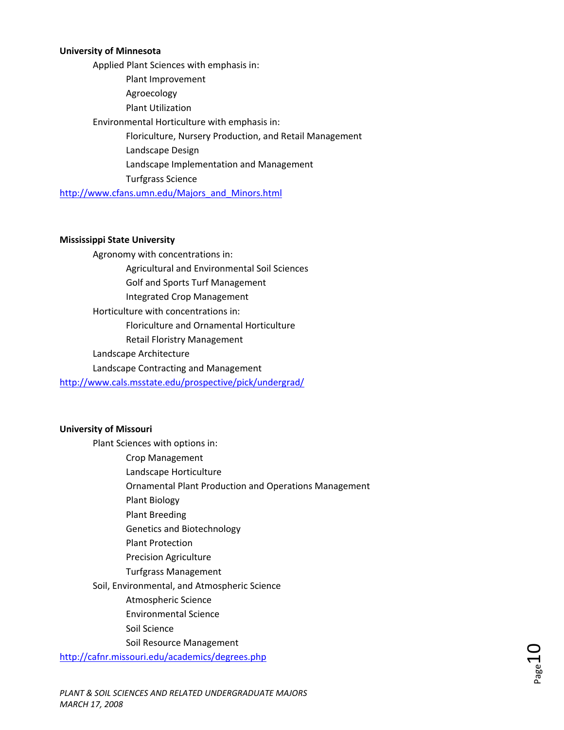#### **University of Minnesota**

Applied Plant Sciences with emphasis in: Plant Improvement Agroecology Plant Utilization Environmental Horticulture with emphasis in: Floriculture, Nursery Production, and Retail Management Landscape Design Landscape Implementation and Management Turfgrass Science [http://www.cfans.umn.edu/Majors\\_and\\_Minors.html](http://www.cfans.umn.edu/Majors_and_Minors.html)

#### **Mississippi State University**

Agronomy with concentrations in: Agricultural and Environmental Soil Sciences Golf and Sports Turf Management Integrated Crop Management Horticulture with concentrations in: Floriculture and Ornamental Horticulture Retail Floristry Management Landscape Architecture Landscape Contracting and Management <http://www.cals.msstate.edu/prospective/pick/undergrad/>

#### **University of Missouri**

Plant Sciences with options in:

 Crop Management Landscape Horticulture

Ornamental Plant Production and Operations Management

Plant Biology

Plant Breeding

Genetics and Biotechnology

Plant Protection

Precision Agriculture

Turfgrass Management

Soil, Environmental, and Atmospheric Science

Atmospheric Science

Environmental Science

Soil Science

Soil Resource Management

<http://cafnr.missouri.edu/academics/degrees.php>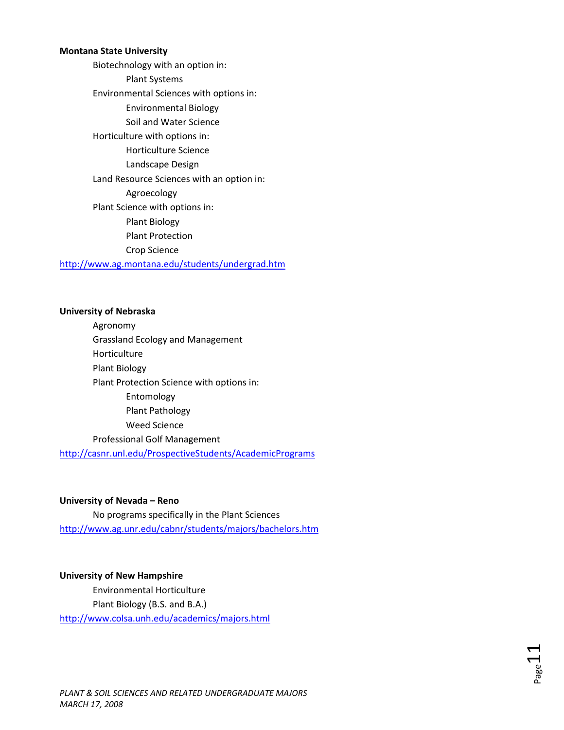#### **Montana State University**

Biotechnology with an option in: Plant Systems Environmental Sciences with options in: Environmental Biology Soil and Water Science Horticulture with options in: Horticulture Science Landscape Design Land Resource Sciences with an option in: Agroecology Plant Science with options in: Plant Biology Plant Protection Crop Science

<http://www.ag.montana.edu/students/undergrad.htm>

#### **University of Nebraska**

Agronomy Grassland Ecology and Management Horticulture Plant Biology Plant Protection Science with options in: Entomology Plant Pathology Weed Science Professional Golf Management

<http://casnr.unl.edu/ProspectiveStudents/AcademicPrograms>

#### **University of Nevada – Reno**

No programs specifically in the Plant Sciences <http://www.ag.unr.edu/cabnr/students/majors/bachelors.htm>

#### **University of New Hampshire**

Environmental Horticulture Plant Biology (B.S. and B.A.) <http://www.colsa.unh.edu/academics/majors.html>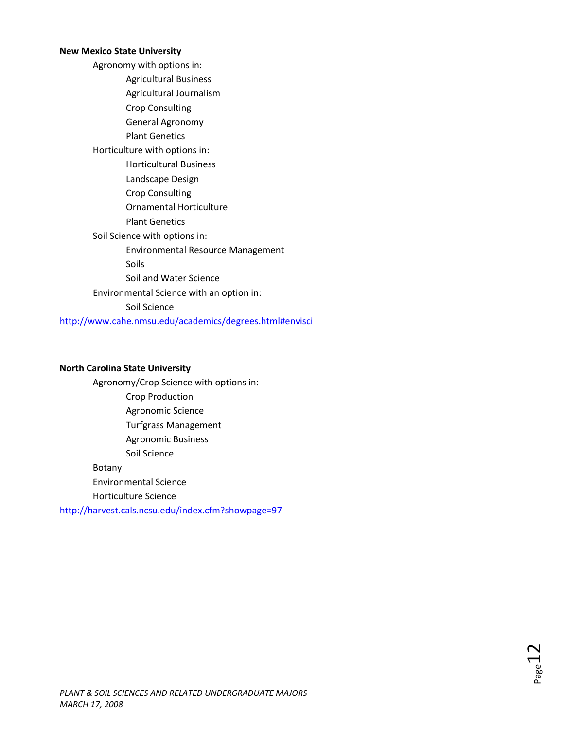#### **New Mexico State University**

Agronomy with options in: Agricultural Business Agricultural Journalism Crop Consulting General Agronomy Plant Genetics Horticulture with options in: Horticultural Business Landscape Design Crop Consulting Ornamental Horticulture Plant Genetics Soil Science with options in: Environmental Resource Management Soils Soil and Water Science Environmental Science with an option in: Soil Science <http://www.cahe.nmsu.edu/academics/degrees.html#envisci>

#### **North Carolina State University**

Agronomy/Crop Science with options in: Crop Production Agronomic Science Turfgrass Management Agronomic Business Soil Science Botany Environmental Science Horticulture Science

<http://harvest.cals.ncsu.edu/index.cfm?showpage=97>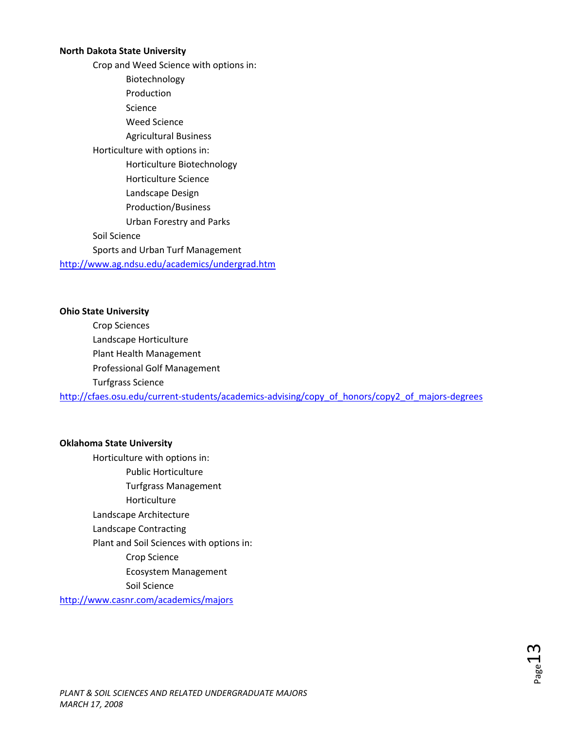#### **North Dakota State University**

Crop and Weed Science with options in: Biotechnology Production Science Weed Science Agricultural Business Horticulture with options in: Horticulture Biotechnology Horticulture Science Landscape Design Production/Business Urban Forestry and Parks Soil Science Sports and Urban Turf Management <http://www.ag.ndsu.edu/academics/undergrad.htm>

#### **Ohio State University**

Crop Sciences Landscape Horticulture Plant Health Management Professional Golf Management Turfgrass Science http://cfaes.osu.edu/current-students/academics-[advising/copy\\_of\\_honors/copy2\\_of\\_majors](http://cfaes.osu.edu/current-students/academics-advising/copy_of_honors/copy2_of_majors-degrees)-degrees

#### **Oklahoma State University**

Horticulture with options in: Public Horticulture Turfgrass Management Horticulture Landscape Architecture Landscape Contracting Plant and Soil Sciences with options in: Crop Science Ecosystem Management Soil Science <http://www.casnr.com/academics/majors>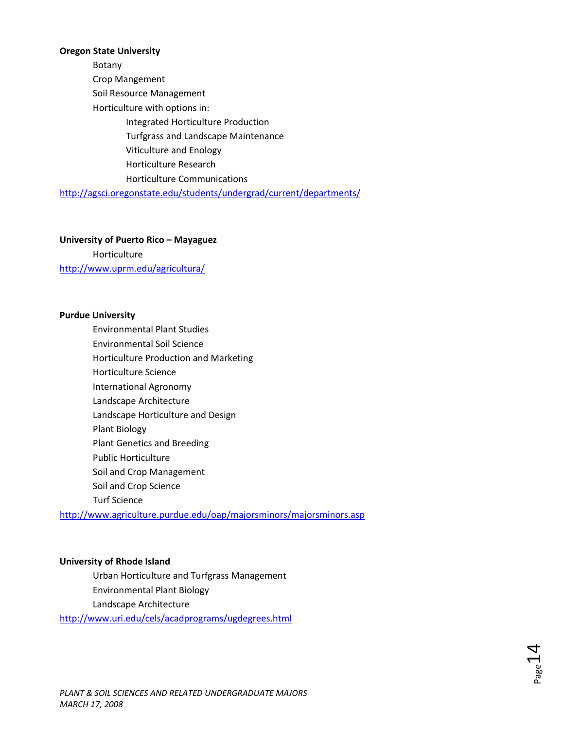#### **Oregon State University**

Botany Crop Mangement Soil Resource Management Horticulture with options in: Integrated Horticulture Production Turfgrass and Landscape Maintenance Viticulture and Enology Horticulture Research Horticulture Communications <http://agsci.oregonstate.edu/students/undergrad/current/departments/>

**University of Puerto Rico – Mayaguez**

Horticulture <http://www.uprm.edu/agricultura/>

#### **Purdue University**

Environmental Plant Studies Environmental Soil Science Horticulture Production and Marketing Horticulture Science International Agronomy Landscape Architecture Landscape Horticulture and Design Plant Biology Plant Genetics and Breeding Public Horticulture Soil and Crop Management Soil and Crop Science Turf Science <http://www.agriculture.purdue.edu/oap/majorsminors/majorsminors.asp>

#### **University of Rhode Island**

Urban Horticulture and Turfgrass Management Environmental Plant Biology Landscape Architecture

<http://www.uri.edu/cels/acadprograms/ugdegrees.html>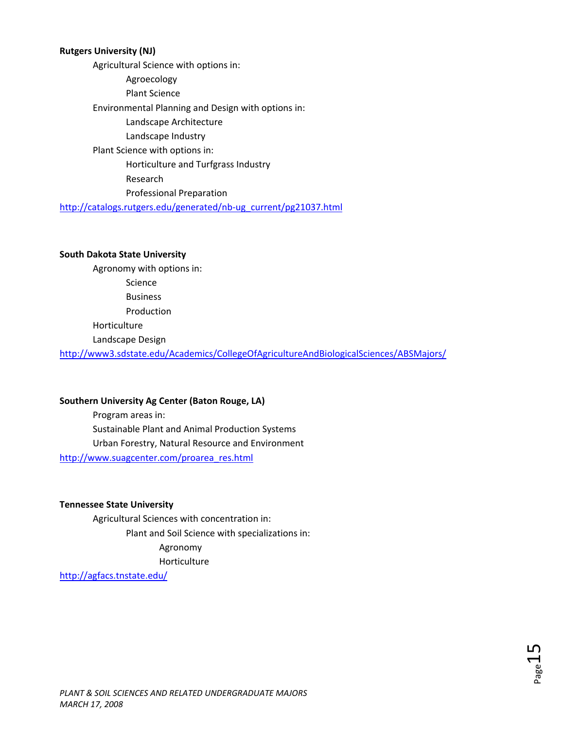#### **Rutgers University (NJ)**

Agricultural Science with options in: Agroecology Plant Science Environmental Planning and Design with options in: Landscape Architecture Landscape Industry Plant Science with options in: Horticulture and Turfgrass Industry Research Professional Preparation [http://catalogs.rutgers.edu/generated/nb](http://catalogs.rutgers.edu/generated/nb-ug_current/pg21037.html)‐ug\_current/pg21037.html

#### **South Dakota State University**

Agronomy with options in:

Science

Business

Production

Horticulture

Landscape Design

<http://www3.sdstate.edu/Academics/CollegeOfAgricultureAndBiologicalSciences/ABSMajors/>

#### **Southern University Ag Center (Baton Rouge, LA)**

Program areas in: Sustainable Plant and Animal Production Systems Urban Forestry, Natural Resource and Environment [http://www.suagcenter.com/proarea\\_res.html](http://www.suagcenter.com/proarea_res.html)

#### **Tennessee State University**

Agricultural Sciences with concentration in: Plant and Soil Science with specializations in: Agronomy Horticulture

<http://agfacs.tnstate.edu/>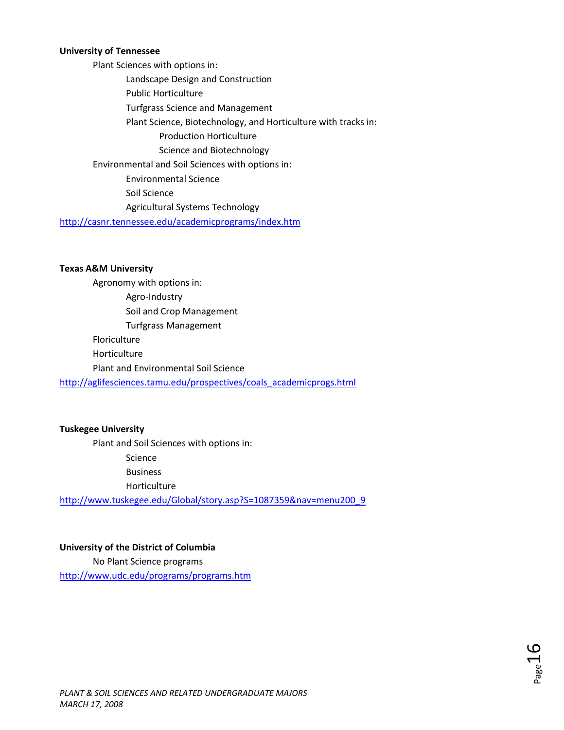#### **University of Tennessee**

Plant Sciences with options in: Landscape Design and Construction Public Horticulture Turfgrass Science and Management Plant Science, Biotechnology, and Horticulture with tracks in: Production Horticulture Science and Biotechnology Environmental and Soil Sciences with options in: Environmental Science Soil Science Agricultural Systems Technology

<http://casnr.tennessee.edu/academicprograms/index.htm>

#### **Texas A&M University**

Agronomy with options in: Agro‐Industry Soil and Crop Management Turfgrass Management Floriculture Horticulture Plant and Environmental Soil Science [http://aglifesciences.tamu.edu/prospectives/coals\\_academicprogs.html](http://aglifesciences.tamu.edu/prospectives/coals_academicprogs.html)

#### **Tuskegee University**

Plant and Soil Sciences with options in:

Science

Business

Horticulture

[http://www.tuskegee.edu/Global/story.asp?S=1087359&nav=menu200\\_9](http://www.tuskegee.edu/Global/story.asp?S=1087359&nav=menu200_9)

#### **University of the District of Columbia**

No Plant Science programs <http://www.udc.edu/programs/programs.htm>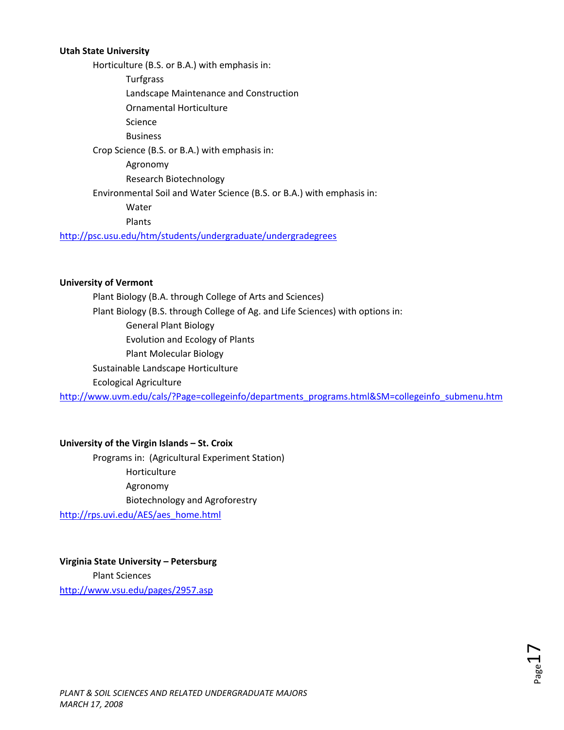#### **Utah State University**

Horticulture (B.S. or B.A.) with emphasis in:

Turfgrass

Landscape Maintenance and Construction

Ornamental Horticulture

Science

Business

Crop Science (B.S. or B.A.) with emphasis in:

Agronomy

Research Biotechnology

Environmental Soil and Water Science (B.S. or B.A.) with emphasis in:

Water

Plants

<http://psc.usu.edu/htm/students/undergraduate/undergradegrees>

#### **University of Vermont**

Plant Biology (B.A. through College of Arts and Sciences) Plant Biology (B.S. through College of Ag. and Life Sciences) with options in: General Plant Biology Evolution and Ecology of Plants Plant Molecular Biology Sustainable Landscape Horticulture Ecological Agriculture

[http://www.uvm.edu/cals/?Page=collegeinfo/departments\\_programs.html&SM=collegeinfo\\_submenu.htm](http://www.uvm.edu/cals/?Page=collegeinfo/departments_programs.html&SM=collegeinfo_submenu.htm)

#### **University of the Virgin Islands – St. Croix**

Programs in: (Agricultural Experiment Station) Horticulture Agronomy Biotechnology and Agroforestry [http://rps.uvi.edu/AES/aes\\_home.html](http://rps.uvi.edu/AES/aes_home.html)

### **Virginia State University – Petersburg**

Plant Sciences <http://www.vsu.edu/pages/2957.asp>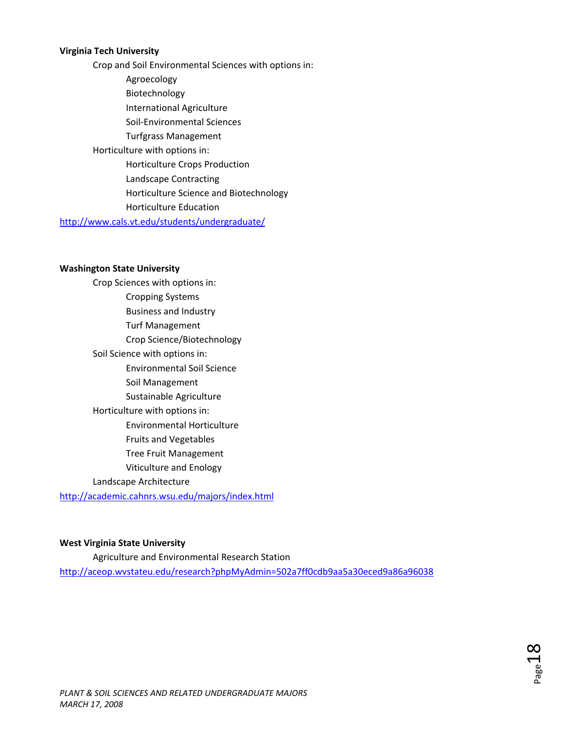#### **Virginia Tech University**

Crop and Soil Environmental Sciences with options in: Agroecology Biotechnology International Agriculture Soil‐Environmental Sciences Turfgrass Management Horticulture with options in: Horticulture Crops Production Landscape Contracting Horticulture Science and Biotechnology Horticulture Education

<http://www.cals.vt.edu/students/undergraduate/>

#### **Washington State University**

Crop Sciences with options in: Cropping Systems Business and Industry Turf Management Crop Science/Biotechnology Soil Science with options in: Environmental Soil Science Soil Management Sustainable Agriculture Horticulture with options in: Environmental Horticulture Fruits and Vegetables Tree Fruit Management

Viticulture and Enology

#### Landscape Architecture

<http://academic.cahnrs.wsu.edu/majors/index.html>

#### **West Virginia State University**

Agriculture and Environmental Research Station <http://aceop.wvstateu.edu/research?phpMyAdmin=502a7ff0cdb9aa5a30eced9a86a96038>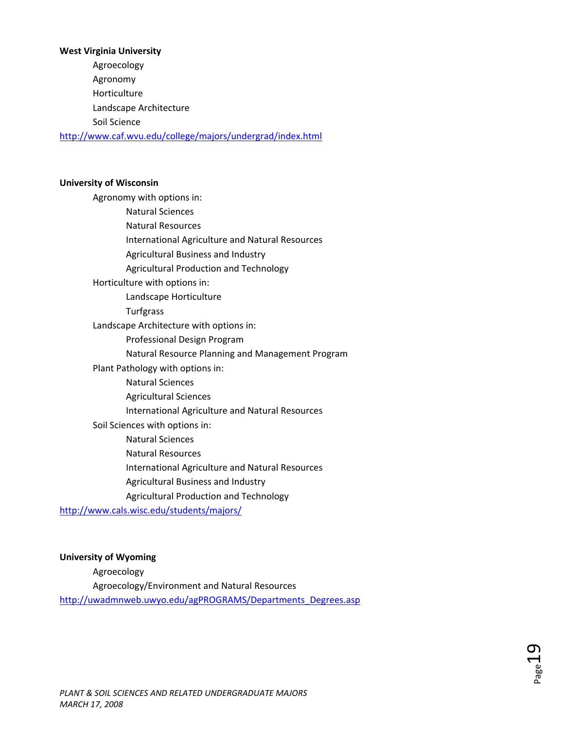# **West Virginia University** Agroecology Agronomy Horticulture Landscape Architecture Soil Science <http://www.caf.wvu.edu/college/majors/undergrad/index.html>

#### **University of Wisconsin**

Agronomy with options in: Natural Sciences Natural Resources International Agriculture and Natural Resources Agricultural Business and Industry Agricultural Production and Technology Horticulture with options in: Landscape Horticulture Turfgrass Landscape Architecture with options in: Professional Design Program Natural Resource Planning and Management Program Plant Pathology with options in: Natural Sciences Agricultural Sciences International Agriculture and Natural Resources Soil Sciences with options in: Natural Sciences Natural Resources International Agriculture and Natural Resources Agricultural Business and Industry

Agricultural Production and Technology

<http://www.cals.wisc.edu/students/majors/>

### **University of Wyoming**

Agroecology Agroecology/Environment and Natural Resources [http://uwadmnweb.uwyo.edu/agPROGRAMS/Departments\\_Degrees.asp](http://uwadmnweb.uwyo.edu/agPROGRAMS/Departments_Degrees.asp)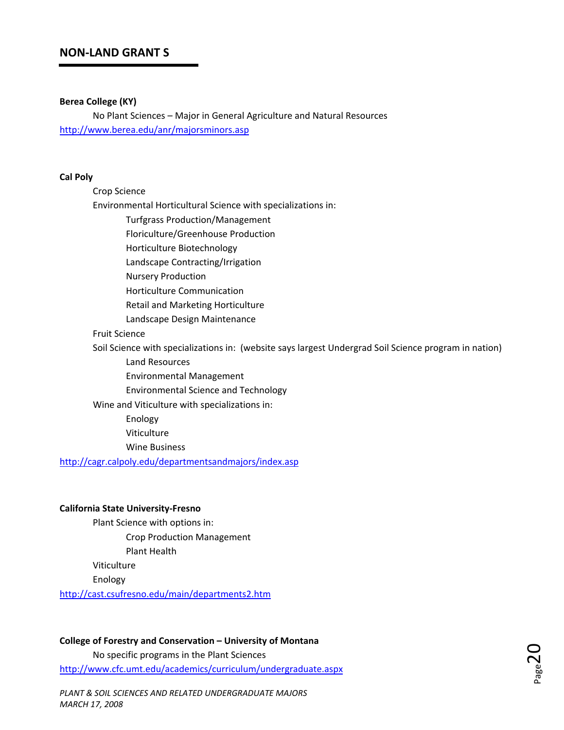#### **Berea College (KY)**

No Plant Sciences – Major in General Agriculture and Natural Resources <http://www.berea.edu/anr/majorsminors.asp>

#### **Cal Poly**

| Crop Science                                                                                          |
|-------------------------------------------------------------------------------------------------------|
| Environmental Horticultural Science with specializations in:                                          |
| <b>Turfgrass Production/Management</b>                                                                |
| Floriculture/Greenhouse Production                                                                    |
| Horticulture Biotechnology                                                                            |
| Landscape Contracting/Irrigation                                                                      |
| <b>Nursery Production</b>                                                                             |
| Horticulture Communication                                                                            |
| <b>Retail and Marketing Horticulture</b>                                                              |
| Landscape Design Maintenance                                                                          |
| <b>Fruit Science</b>                                                                                  |
| Soil Science with specializations in: (website says largest Undergrad Soil Science program in nation) |
| Land Resources                                                                                        |
| <b>Environmental Management</b>                                                                       |
| <b>Environmental Science and Technology</b>                                                           |
| Wine and Viticulture with specializations in:                                                         |
| Enology                                                                                               |
| Viticulture                                                                                           |
| <b>Wine Business</b>                                                                                  |
| http://cagr.calpoly.edu/departmentsandmajors/index.asp                                                |
|                                                                                                       |

### **California State University‐Fresno**

Plant Science with options in: Crop Production Management Plant Health

Viticulture

Enology

<http://cast.csufresno.edu/main/departments2.htm>

**College of Forestry and Conservation – University of Montana** No specific programs in the Plant Sciences <http://www.cfc.umt.edu/academics/curriculum/undergraduate.aspx>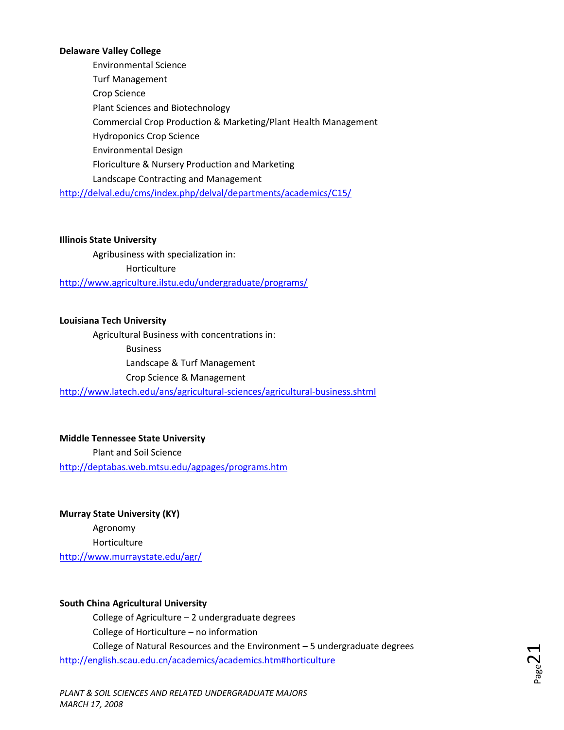#### **Delaware Valley College**

Environmental Science Turf Management Crop Science Plant Sciences and Biotechnology Commercial Crop Production & Marketing/Plant Health Management Hydroponics Crop Science Environmental Design Floriculture & Nursery Production and Marketing Landscape Contracting and Management <http://delval.edu/cms/index.php/delval/departments/academics/C15/>

#### **Illinois State University**

Agribusiness with specialization in: Horticulture <http://www.agriculture.ilstu.edu/undergraduate/programs/>

#### **Louisiana Tech University**

Agricultural Business with concentrations in: Business Landscape & Turf Management Crop Science & Management

[http://www.latech.edu/ans/agricultural](http://www.latech.edu/ans/agricultural-sciences/agricultural-business.shtml)‐sciences/agricultural‐business.shtml

## **Middle Tennessee State University** Plant and Soil Science <http://deptabas.web.mtsu.edu/agpages/programs.htm>

**Murray State University (KY)** Agronomy Horticulture <http://www.murraystate.edu/agr/>

#### **South China Agricultural University**

College of Agriculture – 2 undergraduate degrees College of Horticulture – no information College of Natural Resources and the Environment – 5 undergraduate degrees <http://english.scau.edu.cn/academics/academics.htm#horticulture>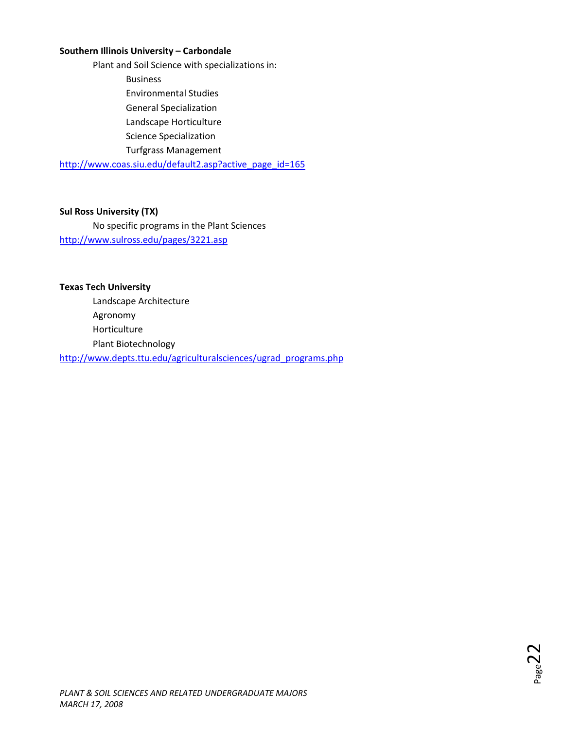### **Southern Illinois University – Carbondale**

Plant and Soil Science with specializations in: Business Environmental Studies General Specialization Landscape Horticulture Science Specialization Turfgrass Management

[http://www.coas.siu.edu/default2.asp?active\\_page\\_id=165](http://www.coas.siu.edu/default2.asp?active_page_id=165)

#### **Sul Ross University (TX)**

No specific programs in the Plant Sciences <http://www.sulross.edu/pages/3221.asp>

**Texas Tech University** Landscape Architecture Agronomy Horticulture Plant Biotechnology [http://www.depts.ttu.edu/agriculturalsciences/ugrad\\_programs.php](http://www.depts.ttu.edu/agriculturalsciences/ugrad_programs.php)

Page4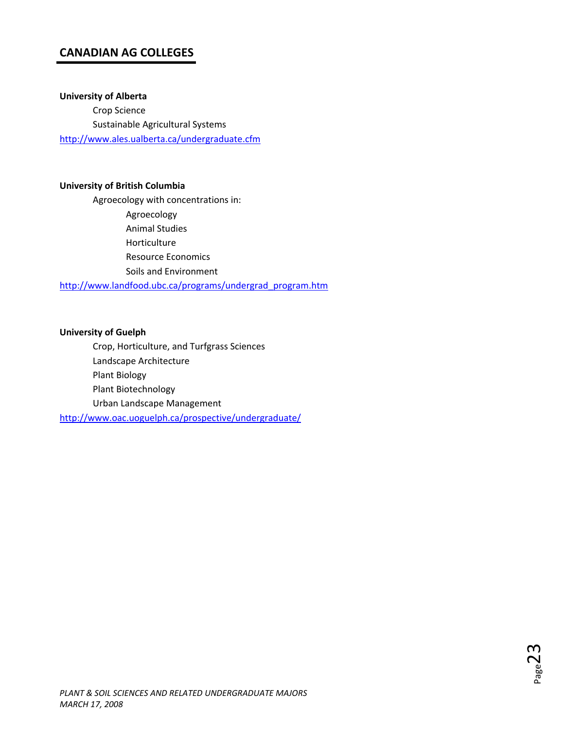# **CANADIAN AG COLLEGES**

**University of Alberta**

Crop Science Sustainable Agricultural Systems <http://www.ales.ualberta.ca/undergraduate.cfm>

#### **University of British Columbia**

Agroecology with concentrations in: Agroecology Animal Studies Horticulture Resource Economics Soils and Environment [http://www.landfood.ubc.ca/programs/undergrad\\_program.htm](http://www.landfood.ubc.ca/programs/undergrad_program.htm)

#### **University of Guelph**

Crop, Horticulture, and Turfgrass Sciences Landscape Architecture Plant Biology Plant Biotechnology Urban Landscape Management <http://www.oac.uoguelph.ca/prospective/undergraduate/>